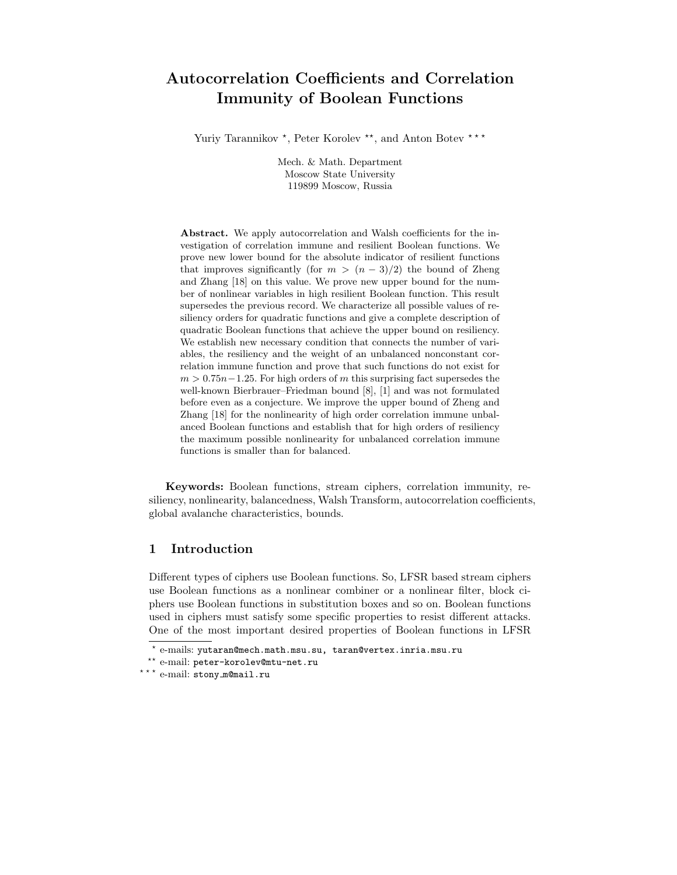# Autocorrelation Coefficients and Correlation Immunity of Boolean Functions

Yuriy Tarannikov<sup>\*</sup>, Peter Korolev<sup>\*\*</sup>, and Anton Botev<sup>\*\*\*</sup>

Mech. & Math. Department Moscow State University 119899 Moscow, Russia

Abstract. We apply autocorrelation and Walsh coefficients for the investigation of correlation immune and resilient Boolean functions. We prove new lower bound for the absolute indicator of resilient functions that improves significantly (for  $m > (n-3)/2$ ) the bound of Zheng and Zhang [18] on this value. We prove new upper bound for the number of nonlinear variables in high resilient Boolean function. This result supersedes the previous record. We characterize all possible values of resiliency orders for quadratic functions and give a complete description of quadratic Boolean functions that achieve the upper bound on resiliency. We establish new necessary condition that connects the number of variables, the resiliency and the weight of an unbalanced nonconstant correlation immune function and prove that such functions do not exist for  $m > 0.75n-1.25$ . For high orders of m this surprising fact supersedes the well-known Bierbrauer–Friedman bound [8], [1] and was not formulated before even as a conjecture. We improve the upper bound of Zheng and Zhang [18] for the nonlinearity of high order correlation immune unbalanced Boolean functions and establish that for high orders of resiliency the maximum possible nonlinearity for unbalanced correlation immune functions is smaller than for balanced.

Keywords: Boolean functions, stream ciphers, correlation immunity, resiliency, nonlinearity, balancedness, Walsh Transform, autocorrelation coefficients, global avalanche characteristics, bounds.

### 1 Introduction

Different types of ciphers use Boolean functions. So, LFSR based stream ciphers use Boolean functions as a nonlinear combiner or a nonlinear filter, block ciphers use Boolean functions in substitution boxes and so on. Boolean functions used in ciphers must satisfy some specific properties to resist different attacks. One of the most important desired properties of Boolean functions in LFSR

 $^{\star}$  e-mails: yutaran@mech.math.msu.su, taran@vertex.inria.msu.ru

<sup>\*\*</sup> e-mail: peter-korolev@mtu-net.ru

<sup>\*\*\*</sup> e-mail: stony\_m@mail.ru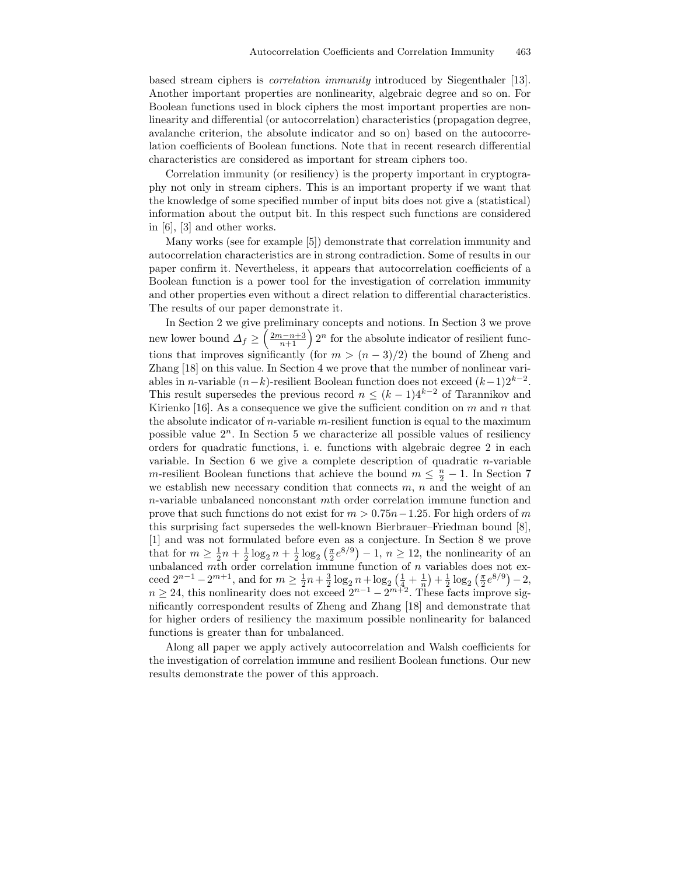based stream ciphers is correlation immunity introduced by Siegenthaler [13]. Another important properties are nonlinearity, algebraic degree and so on. For Boolean functions used in block ciphers the most important properties are nonlinearity and differential (or autocorrelation) characteristics (propagation degree, avalanche criterion, the absolute indicator and so on) based on the autocorrelation coefficients of Boolean functions. Note that in recent research differential characteristics are considered as important for stream ciphers too.

Correlation immunity (or resiliency) is the property important in cryptography not only in stream ciphers. This is an important property if we want that the knowledge of some specified number of input bits does not give a (statistical) information about the output bit. In this respect such functions are considered in [6], [3] and other works.

Many works (see for example [5]) demonstrate that correlation immunity and autocorrelation characteristics are in strong contradiction. Some of results in our paper confirm it. Nevertheless, it appears that autocorrelation coefficients of a Boolean function is a power tool for the investigation of correlation immunity and other properties even without a direct relation to differential characteristics. The results of our paper demonstrate it.

In Section 2 we give preliminary concepts and notions. In Section 3 we prove new lower bound  $\Delta_f \geq \left(\frac{2m-n+3}{n+1}\right)2^n$  for the absolute indicator of resilient functions that improves significantly (for  $m > (n-3)/2$ ) the bound of Zheng and Zhang [18] on this value. In Section 4 we prove that the number of nonlinear variables in *n*-variable  $(n-k)$ -resilient Boolean function does not exceed  $(k-1)2^{k-2}$ . This result supersedes the previous record  $n \leq (k-1)4^{k-2}$  of Tarannikov and Kirienko [16]. As a consequence we give the sufficient condition on  $m$  and  $n$  that the absolute indicator of  $n$ -variable  $m$ -resilient function is equal to the maximum possible value  $2<sup>n</sup>$ . In Section 5 we characterize all possible values of resiliency orders for quadratic functions, i. e. functions with algebraic degree 2 in each variable. In Section  $6$  we give a complete description of quadratic *n*-variable m-resilient Boolean functions that achieve the bound  $m \leq \frac{n}{2} - 1$ . In Section 7 we establish new necessary condition that connects  $m, n$  and the weight of an n-variable unbalanced nonconstant mth order correlation immune function and prove that such functions do not exist for  $m > 0.75n-1.25$ . For high orders of m this surprising fact supersedes the well-known Bierbrauer–Friedman bound [8], [1] and was not formulated before even as a conjecture. In Section 8 we prove that for  $m \geq \frac{1}{2}n + \frac{1}{2}\log_2 n + \frac{1}{2}\log_2 \left(\frac{\pi}{2}e^{8/9}\right) - 1$ ,  $n \geq 12$ , the nonlinearity of an unbalanced mth order correlation immune function of  $n$  variables does not exceed  $2^{n-1} - 2^{m+1}$ , and for  $m \ge \frac{1}{2}n + \frac{3}{2}\log_2 n + \log_2(\frac{1}{4}, \frac{1}{n}) + \frac{1}{2}\log_2(\frac{\pi}{2}e^{8/9}) - 2$ ,  $n \geq 24$ , this nonlinearity does not exceed  $2^{n-1} - 2^{m+2}$ . These facts improve significantly correspondent results of Zheng and Zhang [18] and demonstrate that for higher orders of resiliency the maximum possible nonlinearity for balanced functions is greater than for unbalanced.

Along all paper we apply actively autocorrelation and Walsh coefficients for the investigation of correlation immune and resilient Boolean functions. Our new results demonstrate the power of this approach.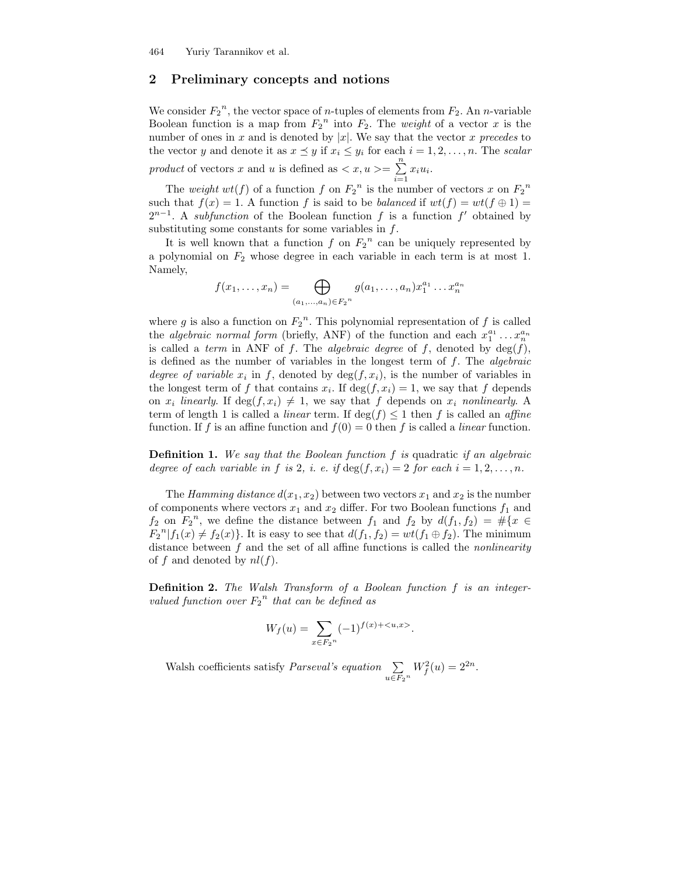### 2 Preliminary concepts and notions

We consider  $F_2^{\,n}$ , the vector space of *n*-tuples of elements from  $F_2$ . An *n*-variable Boolean function is a map from  $F_2$ <sup>n</sup> into  $F_2$ . The *weight* of a vector x is the number of ones in x and is denoted by  $|x|$ . We say that the vector x precedes to the vector y and denote it as  $x \preceq y$  if  $x_i \leq y_i$  for each  $i = 1, 2, ..., n$ . The scalar product of vectors x and u is defined as  $\langle x, u \rangle = \sum_{n=1}^{\infty}$  $\sum_{i=1} x_i u_i.$ 

The weight  $wt(f)$  of a function f on  $F_2^{\ n}$  is the number of vectors x on  $F_2^{\ n}$ such that  $f(x) = 1$ . A function f is said to be *balanced* if  $wt(f) = wt(f \oplus 1)$  $2^{n-1}$ . A subfunction of the Boolean function f is a function f' obtained by substituting some constants for some variables in  $f$ .

It is well known that a function  $f$  on  $F_2^{\{n\}}$  can be uniquely represented by a polynomial on  $F_2$  whose degree in each variable in each term is at most 1. Namely,

$$
f(x_1,...,x_n) = \bigoplus_{(a_1,...,a_n) \in F_2^n} g(a_1,...,a_n) x_1^{a_1} ... x_n^{a_n}
$$

where g is also a function on  $F_2^{\,n}$ . This polynomial representation of f is called the *algebraic normal form* (briefly, ANF) of the function and each  $x_1^{a_1} \dots x_n^{a_n}$ is called a term in ANF of f. The algebraic degree of f, denoted by  $deg(f)$ , is defined as the number of variables in the longest term of  $f$ . The *algebraic* degree of variable  $x_i$  in f, denoted by  $\deg(f, x_i)$ , is the number of variables in the longest term of f that contains  $x_i$ . If  $\deg(f, x_i) = 1$ , we say that f depends on  $x_i$  linearly. If  $\deg(f, x_i) \neq 1$ , we say that f depends on  $x_i$  nonlinearly. A term of length 1 is called a *linear* term. If  $\deg(f) \leq 1$  then f is called an *affine* function. If f is an affine function and  $f(0) = 0$  then f is called a *linear* function.

**Definition 1.** We say that the Boolean function  $f$  is quadratic if an algebraic degree of each variable in f is 2, i. e. if  $\deg(f, x_i) = 2$  for each  $i = 1, 2, \ldots, n$ .

The Hamming distance  $d(x_1, x_2)$  between two vectors  $x_1$  and  $x_2$  is the number of components where vectors  $x_1$  and  $x_2$  differ. For two Boolean functions  $f_1$  and  $f_2$  on  $F_2^n$ , we define the distance between  $f_1$  and  $f_2$  by  $d(f_1, f_2) = #\{x \in$  $F_2^{\{n\}}[f_1(x) \neq f_2(x)\}$ . It is easy to see that  $d(f_1, f_2) = wt(f_1 \oplus f_2)$ . The minimum distance between  $f$  and the set of all affine functions is called the *nonlinearity* of f and denoted by  $nl(f)$ .

Definition 2. The Walsh Transform of a Boolean function f is an integervalued function over  $F_2^{\ n}$  that can be defined as

$$
W_f(u) = \sum_{x \in F_2^n} (-1)^{f(x) + \langle u, x \rangle}.
$$

Walsh coefficients satisfy *Parseval's equation*  $\Sigma$  $\sum_{u \in F_2^n} W_f^2(u) = 2^{2n}.$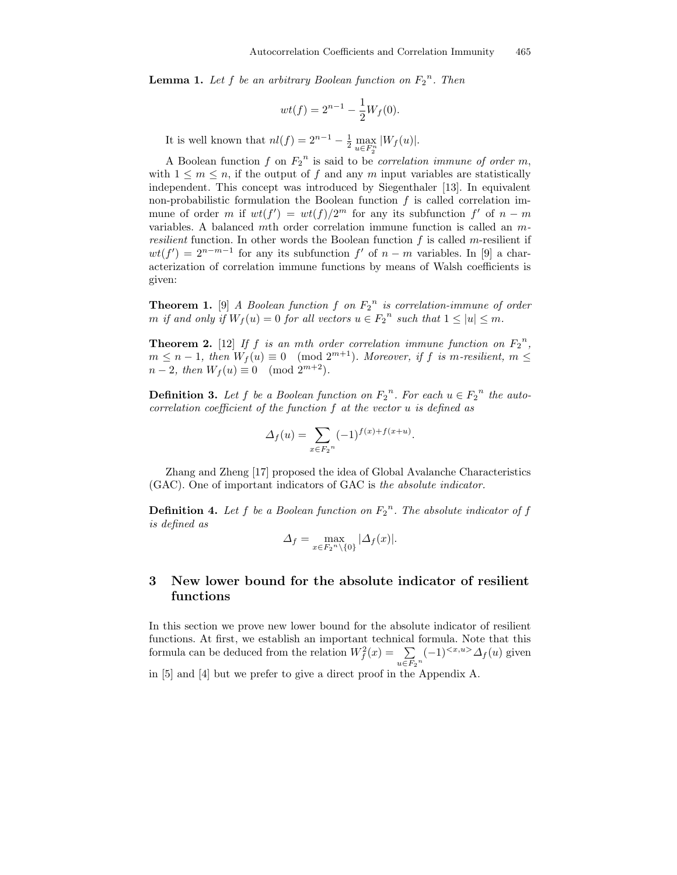**Lemma 1.** Let f be an arbitrary Boolean function on  $F_2^n$ . Then

$$
wt(f) = 2^{n-1} - \frac{1}{2}W_f(0).
$$

It is well known that  $nl(f) = 2^{n-1} - \frac{1}{2} \max_{u \in F_2^n} |W_f(u)|$ .

A Boolean function f on  $F_2^{\{n\}}$  is said to be *correlation immune of order m*, with  $1 \leq m \leq n$ , if the output of f and any m input variables are statistically independent. This concept was introduced by Siegenthaler [13]. In equivalent non-probabilistic formulation the Boolean function  $f$  is called correlation immune of order m if  $wt(f') = wt(f)/2^m$  for any its subfunction  $f'$  of  $n - m$ variables. A balanced mth order correlation immune function is called an m*resilient* function. In other words the Boolean function  $f$  is called m-resilient if  $wt(f') = 2^{n-m-1}$  for any its subfunction f' of  $n - m$  variables. In [9] a characterization of correlation immune functions by means of Walsh coefficients is given:

**Theorem 1.** [9] A Boolean function f on  $F_2^{\{n\}}$  is correlation-immune of order m if and only if  $W_f(u) = 0$  for all vectors  $u \in F_2^{\{n\}}$  such that  $1 \le |u| \le m$ .

**Theorem 2.** [12] If f is an mth order correlation immune function on  $F_2^{\{n\}}$ ,  $m \leq n-1$ , then  $W_f(u) \equiv 0 \pmod{2^{m+1}}$ . Moreover, if f is m-resilient,  $m \leq$  $n-2$ , then  $W_f(u) \equiv 0 \pmod{2^{m+2}}$ .

**Definition 3.** Let f be a Boolean function on  $F_2^n$ . For each  $u \in F_2^n$  the autocorrelation coefficient of the function f at the vector u is defined as

$$
\Delta_f(u) = \sum_{x \in F_2^n} (-1)^{f(x) + f(x+u)}.
$$

Zhang and Zheng [17] proposed the idea of Global Avalanche Characteristics (GAC). One of important indicators of GAC is the absolute indicator.

**Definition 4.** Let f be a Boolean function on  $F_2^n$ . The absolute indicator of f is defined as

$$
\Delta_f = \max_{x \in F_2^n \setminus \{0\}} |\Delta_f(x)|.
$$

## 3 New lower bound for the absolute indicator of resilient functions

In this section we prove new lower bound for the absolute indicator of resilient functions. At first, we establish an important technical formula. Note that this formula can be deduced from the relation  $W_f^2(x) = \sum$  $\sum_{u \in F_2^n} (-1)^{< x, u>} \Delta_f(u)$  given in [5] and [4] but we prefer to give a direct proof in the Appendix A.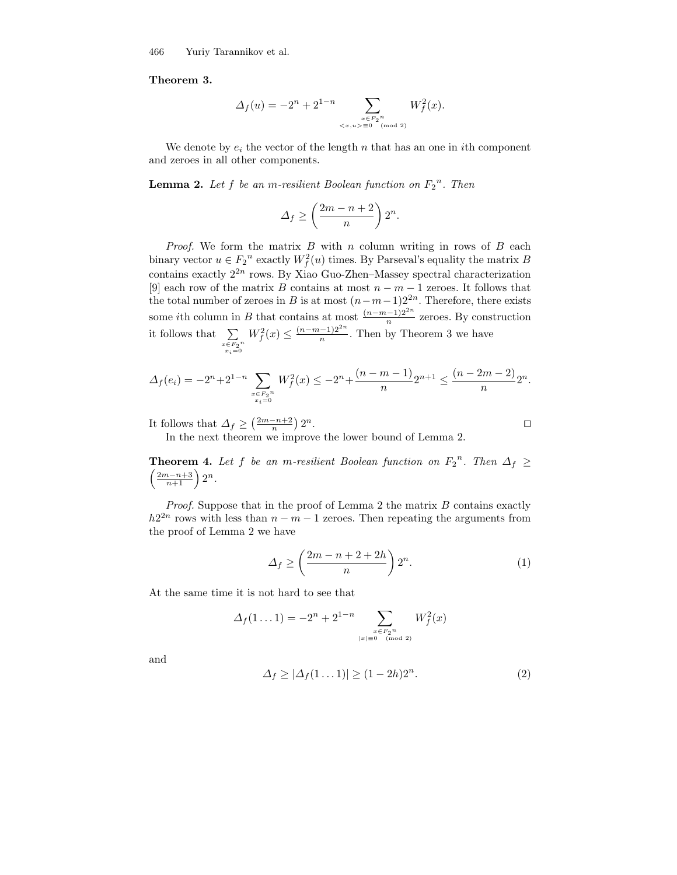466 Yuriy Tarannikov et al.

### Theorem 3.

$$
\Delta_f(u) = -2^n + 2^{1-n} \sum_{\substack{x \in F_2^n \\ \langle x, u \rangle \equiv 0 \pmod{2}}} W_f^2(x).
$$

We denote by  $e_i$  the vector of the length n that has an one in ith component and zeroes in all other components.

**Lemma 2.** Let f be an m-resilient Boolean function on  $F_2^{\{n\}}$ . Then

$$
\Delta_f \ge \left(\frac{2m-n+2}{n}\right)2^n.
$$

*Proof.* We form the matrix  $B$  with  $n$  column writing in rows of  $B$  each binary vector  $u \in F_2^{\{n\}}$  exactly  $W_f^2(u)$  times. By Parseval's equality the matrix B contains exactly  $2^{2n}$  rows. By Xiao Guo-Zhen–Massey spectral characterization [9] each row of the matrix B contains at most  $n - m - 1$  zeroes. It follows that the total number of zeroes in B is at most  $(n-m-1)2^{2n}$ . Therefore, there exists some *i*th column in B that contains at most  $\frac{(n-m-1)2^{2n}}{n}$  zeroes. By construction it follows that  $\sum$  $\begin{array}{c}\n x \in \overline{F_2}^n \\
x_i = 0\n\end{array}$  $W_f^2(x) \le \frac{(n-m-1)2^{2n}}{n}$  $\frac{-1}{n}$ . Then by Theorem 3 we have

$$
\Delta_f(e_i) = -2^n + 2^{1-n} \sum_{\substack{x \in F_2^n \\ x_i = 0}} W_f^2(x) \le -2^n + \frac{(n-m-1)}{n} 2^{n+1} \le \frac{(n-2m-2)}{n} 2^n.
$$

It follows that  $\Delta_f \geq \left(\frac{2m-n+2}{n}\right)2^n$ .

In the next theorem we improve the lower bound of Lemma 2.

**Theorem 4.** Let f be an m-resilient Boolean function on  $F_2^n$ . Then  $\Delta_f \geq$  $\left(\frac{2m-n+3}{n+1}\right)2^n$ .

*Proof.* Suppose that in the proof of Lemma 2 the matrix  $B$  contains exactly  $h2^{2n}$  rows with less than  $n - m - 1$  zeroes. Then repeating the arguments from the proof of Lemma 2 we have

$$
\Delta_f \ge \left(\frac{2m-n+2+2h}{n}\right)2^n.\tag{1}
$$

At the same time it is not hard to see that

$$
\Delta_f(1 \dots 1) = -2^n + 2^{1-n} \sum_{\substack{x \in F_2^n \\ |x| \equiv 0 \pmod{2}}} W_f^2(x)
$$

and

$$
\Delta_f \ge |\Delta_f(1 \dots 1)| \ge (1 - 2h)2^n. \tag{2}
$$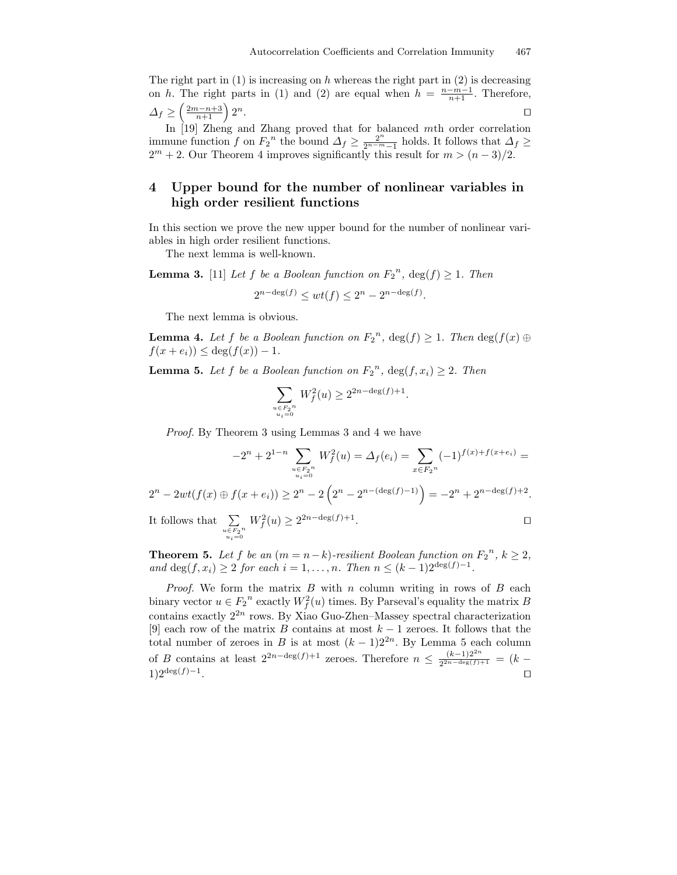The right part in  $(1)$  is increasing on h whereas the right part in  $(2)$  is decreasing on h. The right parts in (1) and (2) are equal when  $h = \frac{n-m-1}{n+1}$ . Therefore,  $\Delta_f \geq \left(\frac{2m-n+3}{n+1}\right)2$  $n$ .

In [19] Zheng and Zhang proved that for balanced mth order correlation immune function f on  $F_2$ <sup>n</sup> the bound  $\Delta_f \geq \frac{2^n}{2^{n-m}}$  $\frac{2^n}{2^{n-m}-1}$  holds. It follows that  $\Delta_f \ge$  $2^m + 2$ . Our Theorem 4 improves significantly this result for  $m > (n-3)/2$ .

## 4 Upper bound for the number of nonlinear variables in high order resilient functions

In this section we prove the new upper bound for the number of nonlinear variables in high order resilient functions.

The next lemma is well-known.

**Lemma 3.** [11] Let f be a Boolean function on  $F_2^{\{n\}}$ ,  $\deg(f) \geq 1$ . Then  $2^{n-\deg(f)} \le wt(f) \le 2^n - 2^{n-\deg(f)}.$ 

The next lemma is obvious.

**Lemma 4.** Let f be a Boolean function on  $F_2^{\{n\}}$ ,  $deg(f) \geq 1$ . Then  $deg(f(x) \oplus$  $f(x + e_i) \leq \deg(f(x)) - 1.$ 

**Lemma 5.** Let f be a Boolean function on  $F_2^{\{n\}}$ ,  $\deg(f, x_i) \geq 2$ . Then

$$
\sum_{\substack{u \in F_2^n \\ u_i = 0}} W_f^2(u) \ge 2^{2n - \deg(f) + 1}.
$$

Proof. By Theorem 3 using Lemmas 3 and 4 we have

$$
-2^{n} + 2^{1-n} \sum_{\substack{u \in F_2^n \\ u_i = 0}} W_f^2(u) = \Delta_f(e_i) = \sum_{x \in F_2^n} (-1)^{f(x) + f(x + e_i)} =
$$

 $2^{n} - 2wt(f(x) \oplus f(x + e_i)) \geq 2^{n} - 2\left(2^{n} - 2^{n - (\deg(f) - 1)}\right) = -2^{n} + 2^{n - \deg(f) + 2}.$ 

It follows that  $\Sigma$  $\begin{array}{c} u \!\in\! F_2^{\phantom i} \!n \\ u_i \!=\! 0 \end{array}$  $W_f^2(u) \ge 2^{2n-\deg(f)+1}$ . The contract of the contract of the contract of the contract of the contract of the contract of the contract of the contract of the contract of the contract of the contract of the contract of the contract of the contract

**Theorem 5.** Let f be an  $(m = n-k)$ -resilient Boolean function on  $F_2^n$ ,  $k \geq 2$ , and  $deg(f, x_i) \ge 2$  for each  $i = 1, ..., n$ . Then  $n \le (k-1)2^{\deg(f)-1}$ .

*Proof.* We form the matrix  $B$  with  $n$  column writing in rows of  $B$  each binary vector  $u \in F_2^{\{n\}}$  exactly  $W_f^2(u)$  times. By Parseval's equality the matrix B contains exactly  $2^{2n}$  rows. By Xiao Guo-Zhen–Massey spectral characterization [9] each row of the matrix B contains at most  $k-1$  zeroes. It follows that the total number of zeroes in B is at most  $(k-1)2^{2n}$ . By Lemma 5 each column of B contains at least  $2^{2n-\deg(f)+1}$  zeroes. Therefore  $n \leq \frac{(k-1)2^{2n}}{2^{2n-\deg(f)}+1}$  $\frac{(\kappa-1)2}{2^{2n-\deg(f)+1}} = (k-1)$  $1)2^{\deg(f)-1}$ . . Turkiya ta 1980 na matsayin kata ta 1980 na matsayin kata ta 1980 na matsayin kata ta 1980 na matsayin kata <br>Ta 1980 na matsayin kata ta 1980 na matsayin kata ta 1980 na matsayin kata ta 1980 na matsayin kata ta 1980 na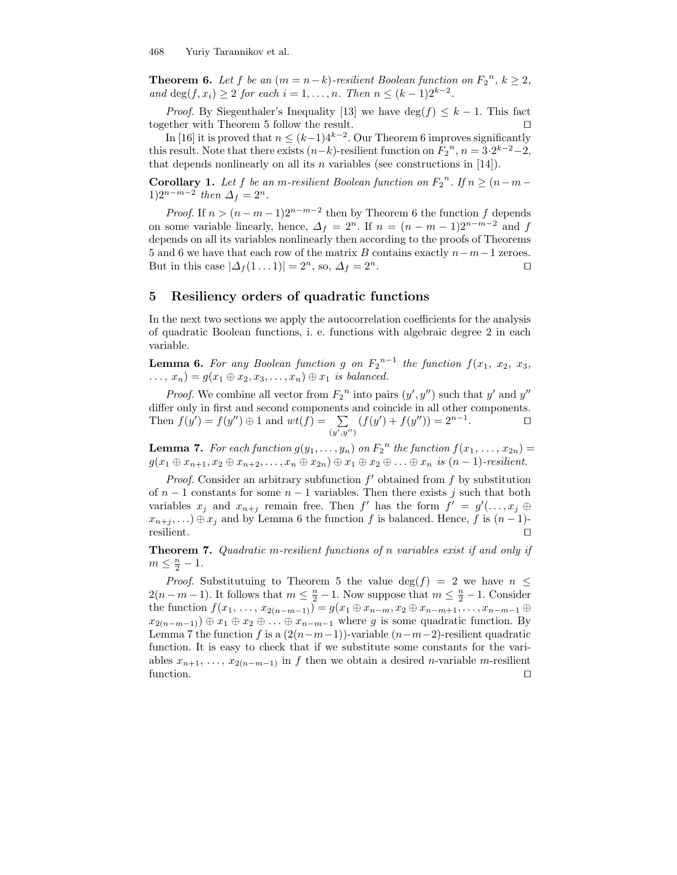**Theorem 6.** Let f be an  $(m = n-k)$ -resilient Boolean function on  $F_2^n$ ,  $k \geq 2$ , and deg(*f*, *x<sub>i</sub>*) ≥ 2 *for each*  $i = 1, ..., n$ . *Then*  $n ≤ (k - 1)2^{k-2}$ .

*Proof.* By Siegenthaler's Inequality [13] we have  $\deg(f) \leq k - 1$ . This fact together with Theorem 5 follow the result.

In [16] it is proved that  $n \leq (k-1)4^{k-2}$ . Our Theorem 6 improves significantly this result. Note that there exists  $(n-k)$ -resilient function on  $F_2^{\,n}$ ,  $n = 3 \cdot 2^{k-2} - 2$ , that depends nonlinearly on all its  $n$  variables (see constructions in [14]).

**Corollary 1.** Let f be an m-resilient Boolean function on  $F_2^{\{n\}}$ . If  $n \geq (n-m-1)$ 1)2<sup>n-m−2</sup> then  $\Delta_f = 2^n$ .

*Proof.* If  $n > (n - m - 1)2^{n-m-2}$  then by Theorem 6 the function f depends on some variable linearly, hence,  $\Delta_f = 2^n$ . If  $n = (n - m - 1)2^{n-m-2}$  and f depends on all its variables nonlinearly then according to the proofs of Theorems 5 and 6 we have that each row of the matrix B contains exactly  $n-m-1$  zeroes.<br>But in this case  $|\Delta_f(1...1)| = 2^n$ , so,  $\Delta_f = 2^n$ . But in this case  $|\Delta f(1...1)| = 2^n$ , so,  $\Delta f = 2$  $n$ .

### 5 Resiliency orders of quadratic functions

In the next two sections we apply the autocorrelation coefficients for the analysis of quadratic Boolean functions, i. e. functions with algebraic degree 2 in each variable.

**Lemma 6.** For any Boolean function g on  $F_2^{n-1}$  the function  $f(x_1, x_2, x_3, x_4)$  $\dots, x_n) = g(x_1 \oplus x_2, x_3, \dots, x_n) \oplus x_1$  is balanced.

*Proof.* We combine all vector from  $F_2^{\ n}$  into pairs  $(y', y'')$  such that y' and y'' differ only in first and second components and coincide in all other components. Then  $f(y') = f(y'') \oplus 1$  and  $wt(f) = \sum_{y}$  $(y', y'')$  $(f(y') + f(y'')) = 2^{n-1}$ . The state  $\Box$ 

**Lemma 7.** For each function  $g(y_1, \ldots, y_n)$  on  $F_2^{\{n\}}$  the function  $f(x_1, \ldots, x_{2n}) =$  $g(x_1 \oplus x_{n+1}, x_2 \oplus x_{n+2}, \ldots, x_n \oplus x_{2n}) \oplus x_1 \oplus x_2 \oplus \ldots \oplus x_n$  is  $(n-1)$ -resilient.

*Proof.* Consider an arbitrary subfunction  $f'$  obtained from  $f$  by substitution of  $n-1$  constants for some  $n-1$  variables. Then there exists j such that both variables  $x_j$  and  $x_{n+j}$  remain free. Then  $f'$  has the form  $f' = g'(\ldots, x_j \oplus$  $x_{n+j}, \ldots$ ) ⊕  $x_j$  and by Lemma 6 the function f is balanced. Hence, f is  $(n-1)$ -<br>resilient.  $\square$ resilient.  $\Box$ 

Theorem 7. Quadratic m-resilient functions of n variables exist if and only if  $m \leq \frac{n}{2} - 1$ .

*Proof.* Substitutuing to Theorem 5 the value  $\deg(f) = 2$  we have  $n \leq$  $2(n-m-1)$ . It follows that  $m \leq \frac{n}{2} - 1$ . Now suppose that  $m \leq \frac{n}{2} - 1$ . Consider the function  $f(x_1, \ldots, x_{2(n-m-1)}) = g(x_1 \oplus x_{n-m}, x_2 \oplus x_{n-m+1}, \ldots, x_{n-m-1} \oplus x_{n-m+1})$  $x_{2(n-m-1)} \oplus x_1 \oplus x_2 \oplus \ldots \oplus x_{n-m-1}$  where g is some quadratic function. By Lemma 7 the function f is a  $(2(n-m-1))$ -variable  $(n-m-2)$ -resilient quadratic function. It is easy to check that if we substitute some constants for the variables  $x_{n+1}, \ldots, x_{2(n-m-1)}$  in f then we obtain a desired n-variable m-resilient function. function.  $\Box$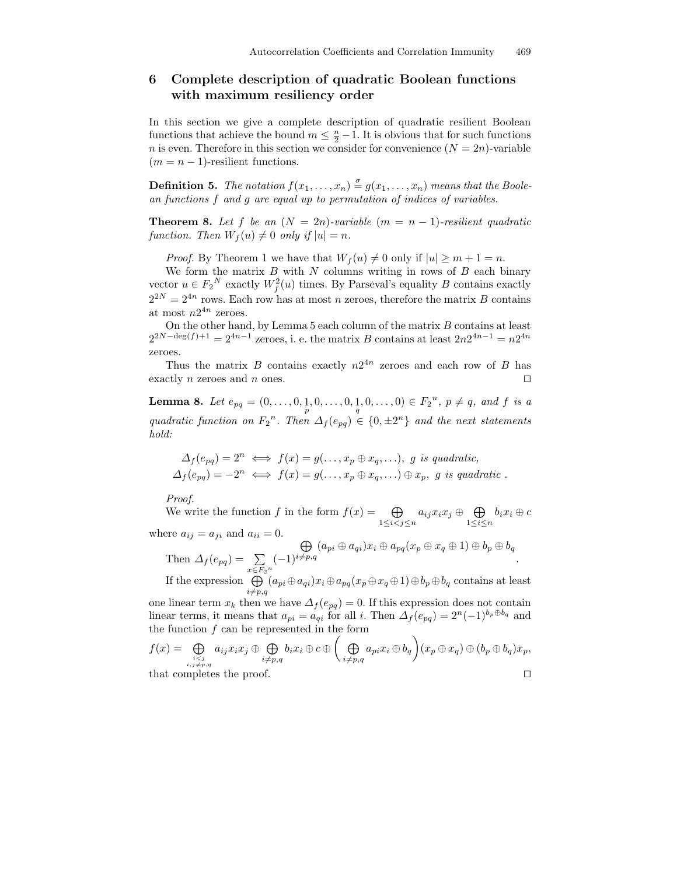## 6 Complete description of quadratic Boolean functions with maximum resiliency order

In this section we give a complete description of quadratic resilient Boolean functions that achieve the bound  $m \leq \frac{n}{2} - 1$ . It is obvious that for such functions n is even. Therefore in this section we consider for convenience  $(N = 2n)$ -variable  $(m = n - 1)$ -resilient functions.

**Definition 5.** The notation  $f(x_1,...,x_n) \stackrel{\sigma}{=} g(x_1,...,x_n)$  means that the Boolean functions f and g are equal up to permutation of indices of variables.

**Theorem 8.** Let f be an  $(N = 2n)$ -variable  $(m = n - 1)$ -resilient quadratic function. Then  $W_f(u) \neq 0$  only if  $|u| = n$ .

*Proof.* By Theorem 1 we have that  $W_f(u) \neq 0$  only if  $|u| \geq m + 1 = n$ .

We form the matrix  $B$  with  $N$  columns writing in rows of  $B$  each binary vector  $u \in F_2^N$  exactly  $W_f^2(u)$  times. By Parseval's equality B contains exactly  $2^{2N} = 2^{4n}$  rows. Each row has at most n zeroes, therefore the matrix B contains at most  $n2^{4n}$  zeroes.

On the other hand, by Lemma  $5$  each column of the matrix  $B$  contains at least  $2^{2N-\deg(f)+1} = 2^{4n-1}$  zeroes, i. e. the matrix B contains at least  $2n2^{4n-1} = n2^{4n}$ zeroes.

Thus the matrix B contains exactly  $n2^{4n}$  zeroes and each row of B has exactly n zeroes and n ones.  $\square$ 

**Lemma 8.** Let  $e_{pq} = (0, \ldots, 0, 1, 0, \ldots, 0, 1, 0, \ldots, 0) \in F_2^{\{n\}}$ ,  $p \neq q$ , and f is a quadratic function on  $F_2^{\{n\}}$ . Then  $\Delta_f(e_{pq}) \in \{0, \pm 2^n\}$  and the next statements hold:

$$
\Delta_f(e_{pq}) = 2^n \iff f(x) = g(\dots, x_p \oplus x_q, \dots), \ g \ is \ quadratic, \n\Delta_f(e_{pq}) = -2^n \iff f(x) = g(\dots, x_p \oplus x_q, \dots) \oplus x_p, \ g \ is \ quadratic.
$$

Proof.

We write the function f in the form  $f(x) = \bigoplus$  $\bigoplus_{1\leq i < j \leq n} a_{ij}x_ix_j \oplus \bigoplus_{1\leq i \leq n}$  $\bigoplus_{1\leq i\leq n} b_ix_i\oplus c$ where  $a_{ij} = a_{ji}$  and  $a_{ii} = 0$ .

Then  $\Delta_f(e_{pq}) = \sum$  $\sum_{x \in F_2^n} (-1)$  $\oplus$  $\bigoplus_{i\neq p,q}(a_{pi}\oplus a_{qi})x_i\oplus a_{pq}(x_p\oplus x_q\oplus 1)\oplus b_p\oplus b_q$ .

If the expression  $\bigoplus (a_{pi} \oplus a_{qi})x_i \oplus a_{pq}(x_p \oplus x_q \oplus 1) \oplus b_p \oplus b_q$  contains at least  $i\neq p,q$ 

one linear term  $x_k$  then we have  $\Delta_f(e_{pq}) = 0$ . If this expression does not contain linear terms, it means that  $a_{pi} = a_{qi}$  for all i. Then  $\Delta_f(e_{pq}) = 2^n(-1)^{b_p \oplus b_q}$  and the function  $f$  can be represented in the form

$$
f(x) = \bigoplus_{\substack{i,j \neq p,q \\ i,j \neq p,q}} a_{ij} x_i x_j \oplus \bigoplus_{i \neq p,q} b_i x_i \oplus c \oplus \left( \bigoplus_{i \neq p,q} a_{pi} x_i \oplus b_q \right) (x_p \oplus x_q) \oplus (b_p \oplus b_q) x_p,
$$
  
that completes the proof.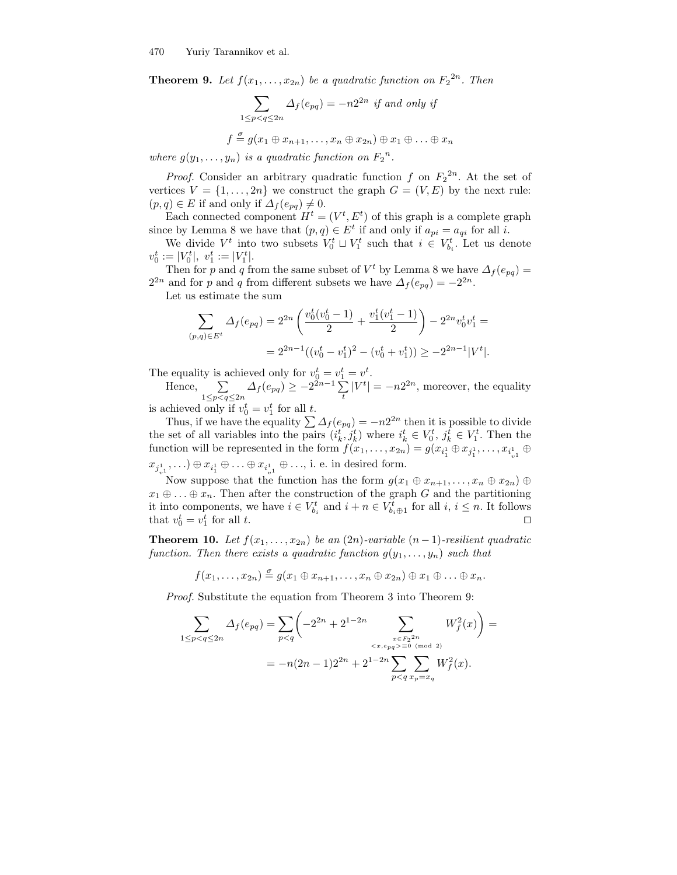**Theorem 9.** Let  $f(x_1, \ldots, x_{2n})$  be a quadratic function on  $F_2^{2n}$ . Then

$$
\sum_{1 \le p < q \le 2n} \Delta_f(e_{pq}) = -n2^{2n} \text{ if and only if}
$$
\n
$$
f \stackrel{\sigma}{=} g(x_1 \oplus x_{n+1}, \dots, x_n \oplus x_{2n}) \oplus x_1 \oplus \dots \oplus x_n
$$

where  $g(y_1, \ldots, y_n)$  is a quadratic function on  $F_2^{\{n\}}$ .

*Proof.* Consider an arbitrary quadratic function f on  $F_2^{2n}$ . At the set of vertices  $V = \{1, ..., 2n\}$  we construct the graph  $G = (V, E)$  by the next rule:  $(p, q) \in E$  if and only if  $\Delta_f(e_{pq}) \neq 0$ .

Each connected component  $H^t = (V^t, E^t)$  of this graph is a complete graph since by Lemma 8 we have that  $(p, q) \in E^t$  if and only if  $a_{pi} = a_{qi}$  for all *i*.

We divide  $V^t$  into two subsets  $V^t_0 \sqcup V^t_1$  such that  $i \in V^t_{b_i}$ . Let us denote  $v_0^t := |V_0^t|, v_1^t := |V_1^t|.$ 

Then for p and q from the same subset of  $V^t$  by Lemma 8 we have  $\Delta_f(e_{pq}) =$  $2^{2n}$  and for p and q from different subsets we have  $\Delta_f(e_{pq}) = -2^{2n}$ .

Let us estimate the sum

$$
\sum_{(p,q)\in E^t} \Delta_f(e_{pq}) = 2^{2n} \left( \frac{v_0^t (v_0^t - 1)}{2} + \frac{v_1^t (v_1^t - 1)}{2} \right) - 2^{2n} v_0^t v_1^t =
$$
  
= 
$$
2^{2n-1} ((v_0^t - v_1^t)^2 - (v_0^t + v_1^t)) \ge -2^{2n-1} |V^t|.
$$

The equality is achieved only for  $v_0^t = v_1^t = v^t$ .

Hence,  $\sum$  $\sum_{1 \le p < q \le 2n} \Delta_f(e_{pq}) \ge -2^{2n-1} \sum_t |V^t| = -n2^{2n}$ , moreover, the equality

is achieved only if  $v_0^t = v_1^t$  for all t.

Thus, if we have the equality  $\sum \Delta_f (e_{pq}) = -n2^{2n}$  then it is possible to divide the set of all variables into the pairs  $(i_k^t, j_k^t)$  where  $i_k^t \in V_0^t$ ,  $j_k^t \in V_1^t$ . Then the function will be represented in the form  $f(x_1, \ldots, x_{2n}) = g(x_{i_1^1} \oplus x_{j_1^1}, \ldots, x_{i_{v1}^1} \oplus x_{j_1^1}, \ldots, x_{i_1^1} \oplus x_{j_1^1}, \ldots, x_{i_1^1} \oplus x_{j_1^1}, \ldots, x_{i_1^1} \oplus x_{j_1^1}, \ldots, x_{i_1^1} \oplus x_{j_1^1}, \ldots, x_{i_1^1} \oplus x_{j_1^1}, \ldots,$  $x_{j_{v}^1}, \ldots) \oplus x_{i_1^1} \oplus \ldots \oplus x_{i_{v}^1} \oplus \ldots,$  i. e. in desired form.

Now suppose that the function has the form  $g(x_1 \oplus x_{n+1}, \ldots, x_n \oplus x_{2n}) \oplus$  $x_1 \oplus \ldots \oplus x_n$ . Then after the construction of the graph G and the partitioning it into components, we have  $i \in V_{b_i}^t$  and  $i + n \in V_{b_i \oplus 1}^t$  for all  $i, i \leq n$ . It follows that  $v_0^t = v_1^t$ for all  $t$ .

**Theorem 10.** Let  $f(x_1, \ldots, x_{2n})$  be an  $(2n)$ -variable  $(n-1)$ -resilient quadratic function. Then there exists a quadratic function  $g(y_1, \ldots, y_n)$  such that

$$
f(x_1,\ldots,x_{2n})\stackrel{\sigma}{=} g(x_1\oplus x_{n+1},\ldots,x_n\oplus x_{2n})\oplus x_1\oplus \ldots \oplus x_n.
$$

Proof. Substitute the equation from Theorem 3 into Theorem 9:

$$
\sum_{1 \le p < q \le 2n} \Delta_f(e_{pq}) = \sum_{p < q} \left( -2^{2n} + 2^{1-2n} \sum_{\substack{x \in F_2^{2n} \\ \langle x, e_{pq} \rangle \equiv 0 \pmod{2} \\ p < q}} W_f^2(x) \right) =
$$
\n
$$
= -n(2n-1)2^{2n} + 2^{1-2n} \sum_{p < q} \sum_{x_p = x_q} W_f^2(x).
$$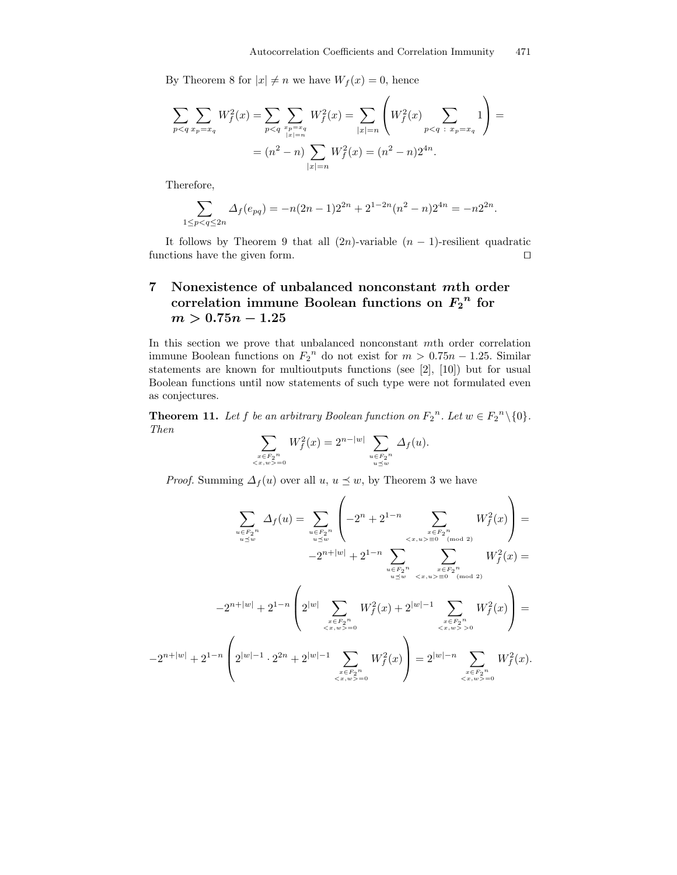By Theorem 8 for  $|x| \neq n$  we have  $W_f(x) = 0$ , hence

$$
\sum_{p < q} \sum_{x_p = x_q} W_f^2(x) = \sum_{p < q} \sum_{\substack{x_p = x_q \ x_p = x_q}} W_f^2(x) = \sum_{|x| = n} \left( W_f^2(x) \sum_{p < q} \sum_{x_p = x_q} 1 \right) =
$$
  
=  $(n^2 - n) \sum_{|x| = n} W_f^2(x) = (n^2 - n) 2^{4n}.$ 

Therefore,

$$
\sum_{1 \le p < q \le 2n} \Delta_f(e_{pq}) = -n(2n-1)2^{2n} + 2^{1-2n}(n^2 - n)2^{4n} = -n2^{2n}.
$$

It follows by Theorem 9 that all  $(2n)$ -variable  $(n - 1)$ -resilient quadratic ctions have the given form. functions have the given form.

## 7 Nonexistence of unbalanced nonconstant mth order correlation immune Boolean functions on  $F_2^{\ n}$  for  $m > 0.75n - 1.25$

In this section we prove that unbalanced nonconstant mth order correlation immune Boolean functions on  $F_2^{\{n\}}$  do not exist for  $m > 0.75n - 1.25$ . Similar statements are known for multioutputs functions (see [2], [10]) but for usual Boolean functions until now statements of such type were not formulated even as conjectures.

**Theorem 11.** Let f be an arbitrary Boolean function on  $F_2^n$ . Let  $w \in F_2^n \setminus \{0\}$ . Then

$$
\sum_{\substack{x \in F_2^n \\ \langle x, w \rangle = 0}} W_f^2(x) = 2^{n-|w|} \sum_{\substack{u \in F_2^n \\ u \preceq w}} \Delta_f(u).
$$

*Proof.* Summing  $\Delta_f(u)$  over all  $u, u \leq w$ , by Theorem 3 we have

$$
\sum_{\substack{u \in F_2^n \\ u \preceq w}} \Delta_f(u) = \sum_{\substack{u \in F_2^n \\ u \preceq w}} \left( -2^n + 2^{1-n} \sum_{\substack{x \in F_2^n \\ u \preceq w}} W_f^2(x) \right) =
$$
\n
$$
-2^{n+|w|} + 2^{1-n} \sum_{\substack{u \in F_2^n \\ u \preceq w}} \sum_{\substack{x \in F_2^n \\ u \preceq w}} W_f^2(x) =
$$
\n
$$
-2^{n+|w|} + 2^{1-n} \left( 2^{|w|} \sum_{\substack{x \in F_2^n \\ x \preceq w \ge 0}} W_f^2(x) + 2^{|w|-1} \sum_{\substack{x \in F_2^n \\ x \preceq w \ge 0}} W_f^2(x) \right) =
$$
\n
$$
-2^{n+|w|} + 2^{1-n} \left( 2^{|w|-1} \cdot 2^{2n} + 2^{|w|-1} \sum_{\substack{x \in F_2^n \\ x \in F_2^n \\ x \preceq w \ge 0}} W_f^2(x) \right) = 2^{|w|-n} \sum_{\substack{x \in F_2^n \\ x \preceq x, w \ge 0}} W_f^2(x).
$$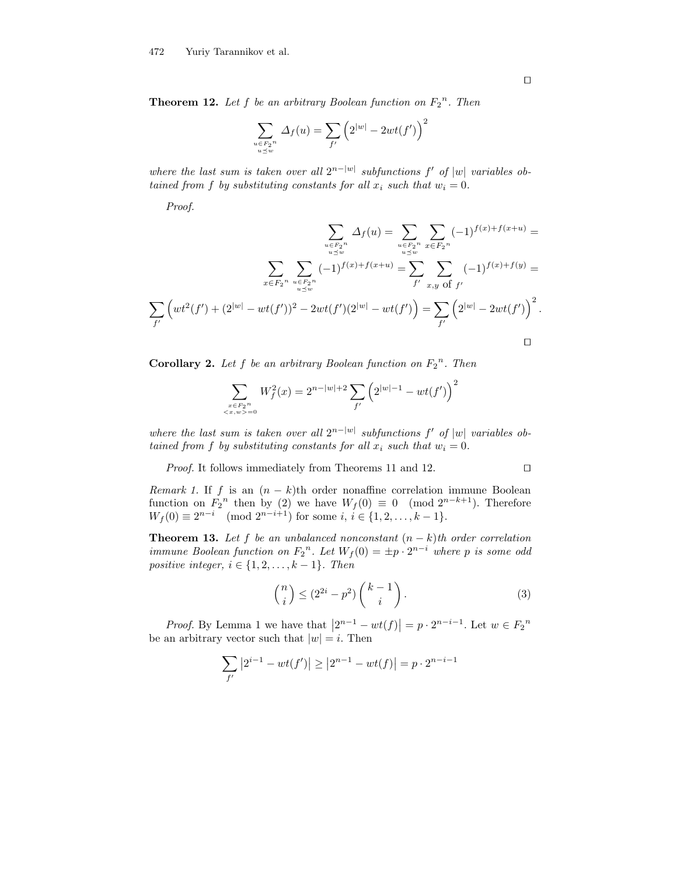**Theorem 12.** Let f be an arbitrary Boolean function on  $F_2$ <sup>n</sup>. Then

$$
\sum_{\substack{u \in F_2^n \\ u \preceq w}} \Delta_f(u) = \sum_{f'} \left( 2^{|w|} - 2wt(f') \right)^2
$$

where the last sum is taken over all  $2^{n-|w|}$  subfunctions f' of |w| variables obtained from f by substituting constants for all  $x_i$  such that  $w_i = 0$ .

Proof.

$$
\sum_{u \in F_2^n} \Delta_f(u) = \sum_{u \in F_2^n} \sum_{x \in F_2^n} (-1)^{f(x) + f(x + u)} =
$$
\n
$$
\sum_{u \leq w} \sum_{u \leq w} (-1)^{f(x) + f(x + u)} = \sum_{f' \ x, y \text{ of } f'} (-1)^{f(x) + f(y)} =
$$
\n
$$
\sum_{f'} \left( wt^2(f') + (2^{|w|} - wt(f'))^2 - 2wt(f')(2^{|w|} - wt(f')) \right) = \sum_{f'} \left( 2^{|w|} - 2wt(f') \right)^2.
$$

**Corollary 2.** Let f be an arbitrary Boolean function on  $F_2^{\{n\}}$ . Then

$$
\sum_{\substack{x \in F_2^n \\ x, w > 0}} W_f^2(x) = 2^{n - |w| + 2} \sum_{f'} \left( 2^{|w| - 1} - wt(f') \right)^2
$$

where the last sum is taken over all  $2^{n-|w|}$  subfunctions f' of |w| variables obtained from f by substituting constants for all  $x_i$  such that  $w_i = 0$ .

*Proof.* It follows immediately from Theorems 11 and 12.  $\Box$ 

*Remark 1.* If f is an  $(n - k)$ th order nonaffine correlation immune Boolean function on  $F_2$ <sup>n</sup> then by (2) we have  $W_f(0) \equiv 0 \pmod{2^{n-k+1}}$ . Therefore  $W_f(0) \equiv 2^{n-i} \pmod{2^{n-i+1}}$  for some  $i, i \in \{1, 2, ..., k-1\}.$ 

**Theorem 13.** Let f be an unbalanced nonconstant  $(n - k)$ th order correlation immune Boolean function on  $F_2^{\,n}$ . Let  $W_f(0) = \pm p \cdot 2^{n-i}$  where p is some odd positive integer,  $i \in \{1, 2, \ldots, k-1\}$ . Then

$$
\binom{n}{i} \le (2^{2i} - p^2) \binom{k-1}{i} \,. \tag{3}
$$

*Proof.* By Lemma 1 we have that  $|2^{n-1} - wt(f)| = p \cdot 2^{n-i-1}$ . Let  $w \in F_2^n$ be an arbitrary vector such that  $|w| = i$ . Then

$$
\sum_{f'} |2^{i-1} - wt(f')| \ge |2^{n-1} - wt(f)| = p \cdot 2^{n-i-1}
$$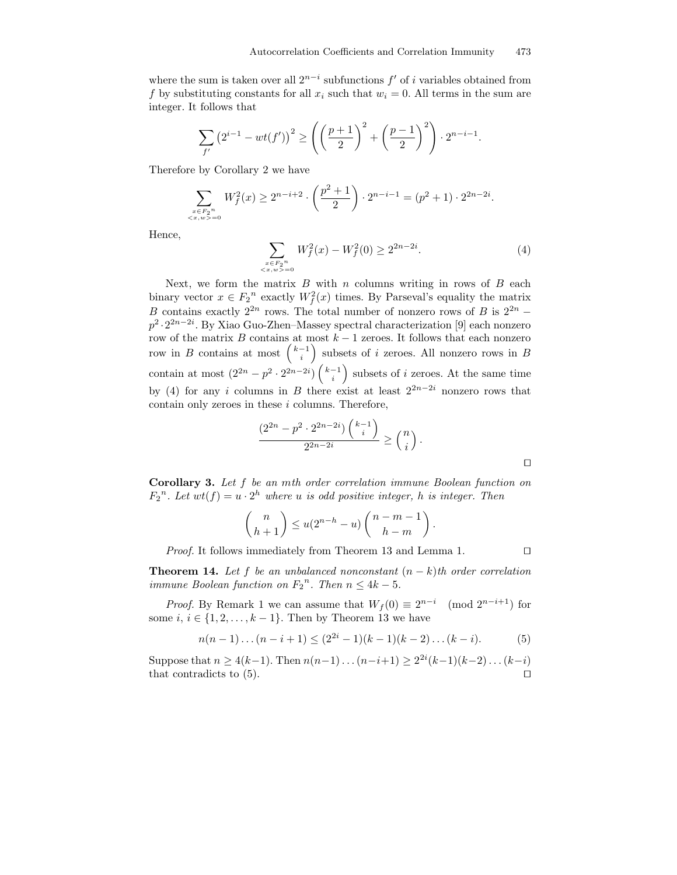where the sum is taken over all  $2^{n-i}$  subfunctions  $f'$  of i variables obtained from f by substituting constants for all  $x_i$  such that  $w_i = 0$ . All terms in the sum are integer. It follows that

$$
\sum_{f'} (2^{i-1} - wt(f'))^2 \ge \left( \left( \frac{p+1}{2} \right)^2 + \left( \frac{p-1}{2} \right)^2 \right) \cdot 2^{n-i-1}.
$$

Therefore by Corollary 2 we have

$$
\sum_{\substack{x \in F_2^n \\ (x, w) = 0}} W_f^2(x) \ge 2^{n-i+2} \cdot \left(\frac{p^2 + 1}{2}\right) \cdot 2^{n-i-1} = (p^2 + 1) \cdot 2^{2n - 2i}.
$$

Hence,

$$
\sum_{\substack{x \in F_2^n \\ \langle x, w \rangle = 0}} W_f^2(x) - W_f^2(0) \ge 2^{2n - 2i}.
$$
 (4)

Next, we form the matrix  $B$  with  $n$  columns writing in rows of  $B$  each binary vector  $x \in F_2^{\{n\}}$  exactly  $W_f^2(x)$  times. By Parseval's equality the matrix B contains exactly  $2^{2n}$  rows. The total number of nonzero rows of B is  $2^{2n}$  –  $p^2 \cdot 2^{2n-2i}$ . By Xiao Guo-Zhen–Massey spectral characterization [9] each nonzero row of the matrix B contains at most  $k - 1$  zeroes. It follows that each nonzero row in B contains at most  $\binom{k-1}{i}$  subsets of i zeroes. All nonzero rows in B contain at most  $(2^{2n} - p^2 \cdot 2^{2n-2i}) \binom{k-1}{i}$  subsets of *i* zeroes. At the same time by (4) for any i columns in B there exist at least  $2^{2n-2i}$  nonzero rows that contain only zeroes in these  $i$  columns. Therefore,

$$
\frac{(2^{2n}-p^2\cdot 2^{2n-2i})\binom{k-1}{i}}{2^{2n-2i}}\geq \binom{n}{i}.
$$

Corollary 3. Let f be an mth order correlation immune Boolean function on  $F_2^{\ n}$ . Let  $wt(f) = u \cdot 2^h$  where u is odd positive integer, h is integer. Then

$$
\binom{n}{h+1} \le u(2^{n-h}-u)\binom{n-m-1}{h-m}.
$$

*Proof.* It follows immediately from Theorem 13 and Lemma 1.  $\Box$ 

**Theorem 14.** Let f be an unbalanced nonconstant  $(n - k)$ th order correlation immune Boolean function on  $F_2^n$ . Then  $n \leq 4k - 5$ .

*Proof.* By Remark 1 we can assume that  $W_f(0) \equiv 2^{n-i} \pmod{2^{n-i+1}}$  for some  $i, i \in \{1, 2, \ldots, k-1\}$ . Then by Theorem 13 we have

$$
n(n-1)\dots(n-i+1) \le (2^{2i}-1)(k-1)(k-2)\dots(k-i). \tag{5}
$$

Suppose that  $n \ge 4(k-1)$ . Then  $n(n-1)...(n-i+1) \ge 2^{2i}(k-1)(k-2)...(k-i)$ that contradicts to  $(5)$ .

 $\Box$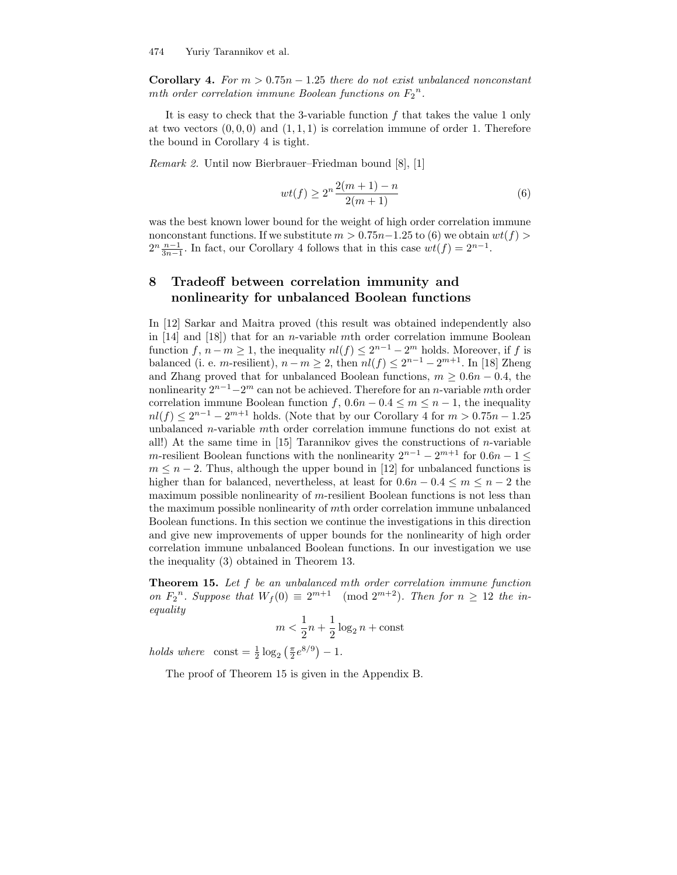Corollary 4. For  $m > 0.75n - 1.25$  there do not exist unbalanced nonconstant mth order correlation immune Boolean functions on  $F_2^{\{n\}}$ .

It is easy to check that the 3-variable function  $f$  that takes the value 1 only at two vectors  $(0, 0, 0)$  and  $(1, 1, 1)$  is correlation immune of order 1. Therefore the bound in Corollary 4 is tight.

Remark 2. Until now Bierbrauer–Friedman bound [8], [1]

$$
wt(f) \ge 2^n \frac{2(m+1) - n}{2(m+1)}
$$
\n(6)

was the best known lower bound for the weight of high order correlation immune nonconstant functions. If we substitute  $m > 0.75n-1.25$  to (6) we obtain  $wt(f)$  $2^{n} \frac{n-1}{3n-1}$ . In fact, our Corollary 4 follows that in this case  $wt(f) = 2^{n-1}$ .

## 8 Tradeoff between correlation immunity and nonlinearity for unbalanced Boolean functions

In [12] Sarkar and Maitra proved (this result was obtained independently also in  $[14]$  and  $[18]$ ) that for an *n*-variable mth order correlation immune Boolean function  $f, n-m \geq 1$ , the inequality  $nl(f) \leq 2^{n-1} - 2^m$  holds. Moreover, if f is balanced (i. e. m-resilient),  $n - m \geq 2$ , then  $nl(f) \leq 2^{n-1} - 2^{m+1}$ . In [18] Zheng and Zhang proved that for unbalanced Boolean functions,  $m \geq 0.6n - 0.4$ , the nonlinearity  $2^{n-1}-2^m$  can not be achieved. Therefore for an *n*-variable *mth* order correlation immune Boolean function f,  $0.6n - 0.4 \leq m \leq n - 1$ , the inequality  $nl(f) \leq 2^{n-1} - 2^{m+1}$  holds. (Note that by our Corollary 4 for  $m > 0.75n - 1.25$ unbalanced n-variable mth order correlation immune functions do not exist at all!) At the same time in  $[15]$  Tarannikov gives the constructions of *n*-variable m-resilient Boolean functions with the nonlinearity  $2^{n-1} - 2^{m+1}$  for  $0.6n - 1 \le$  $m \leq n-2$ . Thus, although the upper bound in [12] for unbalanced functions is higher than for balanced, nevertheless, at least for  $0.6n - 0.4 \leq m \leq n - 2$  the maximum possible nonlinearity of  $m$ -resilient Boolean functions is not less than the maximum possible nonlinearity of mth order correlation immune unbalanced Boolean functions. In this section we continue the investigations in this direction and give new improvements of upper bounds for the nonlinearity of high order correlation immune unbalanced Boolean functions. In our investigation we use the inequality (3) obtained in Theorem 13.

Theorem 15. Let f be an unbalanced mth order correlation immune function on  $F_2^n$ . Suppose that  $W_f(0) \equiv 2^{m+1} \pmod{2^{m+2}}$ . Then for  $n \geq 12$  the inequality

$$
m < \frac{1}{2}n + \frac{1}{2}\log_2 n + \text{const}
$$

holds where  $\text{const} = \frac{1}{2} \log_2 \left( \frac{\pi}{2} e^{8/9} \right) - 1.$ 

The proof of Theorem 15 is given in the Appendix B.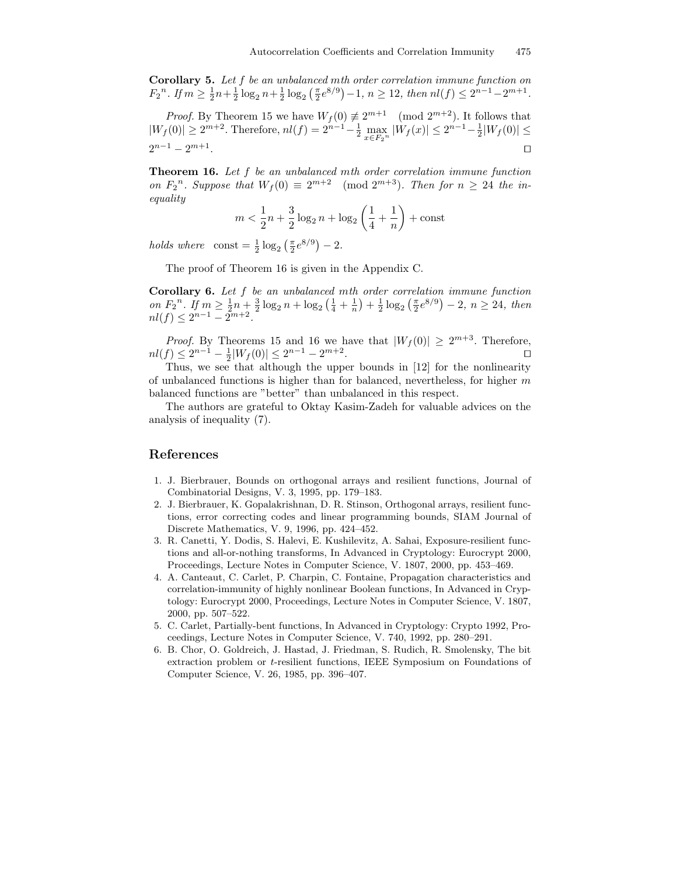Corollary 5. Let f be an unbalanced mth order correlation immune function on  $F_2^{\ n}$ . If  $m \geq \frac{1}{2}n + \frac{1}{2}\log_2 n + \frac{1}{2}\log_2 \left(\frac{\pi}{2}e^{8/9}\right) - 1$ ,  $n \geq 12$ , then  $nl(f) \leq 2^{n-1} - 2^{m+1}$ .

*Proof.* By Theorem 15 we have  $W_f(0) \neq 2^{m+1} \pmod{2^{m+2}}$ . It follows that  $|W_f(0)| \ge 2^{m+2}$ . Therefore,  $nl(f) = 2^{n-1} - \frac{1}{2} \max_{x \in F_2^n} |W_f(x)| \le 2^{n-1} - \frac{1}{2}|W_f(0)| \le$  $2^{n-1} - 2^{m+1}$ . Turkiya ta 1980-yilda qabalada ta 1980-yilda qabalada ta 1980-yilda qabalada ta 1980-yilda qabalada ta 1980-<br>Turkiya ta 1980-yilda qabalada ta 1980-yilda qabalada ta 1980-yilda qabalada ta 1980-yilda qabalada ta 1980-yi

Theorem 16. Let f be an unbalanced mth order correlation immune function on  $F_2^n$ . Suppose that  $W_f(0) \equiv 2^{m+2} \pmod{2^{m+3}}$ . Then for  $n \geq 24$  the inequality

$$
m < \frac{1}{2}n + \frac{3}{2}\log_2 n + \log_2\left(\frac{1}{4} + \frac{1}{n}\right) + \text{const}
$$

holds where  $\text{const} = \frac{1}{2} \log_2 \left( \frac{\pi}{2} e^{8/9} \right) - 2.$ 

The proof of Theorem 16 is given in the Appendix C.

Corollary 6. Let f be an unbalanced mth order correlation immune function on  $F_2^{\,n}$ . If  $m \geq \frac{1}{2}n + \frac{3}{2}\log_2 n + \log_2(\frac{1}{4} + \frac{1}{n}) + \frac{1}{2}\log_2(\frac{\pi}{2}e^{8/9}) - 2, n \geq 24$ , then  $nl(f) \leq 2^{n-1} - 2^{m+2}.$ 

*Proof.* By Theorems 15 and 16 we have that  $|W_f(0)| \ge 2^{m+3}$ . Therefore,  $nl(f) \leq 2^{n-1} - \frac{1}{2}|W_f(0)| \leq 2^{n-1} - 2^{m+2}$ .<br>. turkiya turkiya tarihin karajar 1980-1991.<br>. turkiya tarihin karajar 1992-1992.

Thus, we see that although the upper bounds in [12] for the nonlinearity of unbalanced functions is higher than for balanced, nevertheless, for higher  $m$ balanced functions are "better" than unbalanced in this respect.

The authors are grateful to Oktay Kasim-Zadeh for valuable advices on the analysis of inequality (7).

### References

- 1. J. Bierbrauer, Bounds on orthogonal arrays and resilient functions, Journal of Combinatorial Designs, V. 3, 1995, pp. 179–183.
- 2. J. Bierbrauer, K. Gopalakrishnan, D. R. Stinson, Orthogonal arrays, resilient functions, error correcting codes and linear programming bounds, SIAM Journal of Discrete Mathematics, V. 9, 1996, pp. 424–452.
- 3. R. Canetti, Y. Dodis, S. Halevi, E. Kushilevitz, A. Sahai, Exposure-resilient functions and all-or-nothing transforms, In Advanced in Cryptology: Eurocrypt 2000, Proceedings, Lecture Notes in Computer Science, V. 1807, 2000, pp. 453–469.
- 4. A. Canteaut, C. Carlet, P. Charpin, C. Fontaine, Propagation characteristics and correlation-immunity of highly nonlinear Boolean functions, In Advanced in Cryptology: Eurocrypt 2000, Proceedings, Lecture Notes in Computer Science, V. 1807, 2000, pp. 507–522.
- 5. C. Carlet, Partially-bent functions, In Advanced in Cryptology: Crypto 1992, Proceedings, Lecture Notes in Computer Science, V. 740, 1992, pp. 280–291.
- 6. B. Chor, O. Goldreich, J. Hastad, J. Friedman, S. Rudich, R. Smolensky, The bit extraction problem or t-resilient functions, IEEE Symposium on Foundations of Computer Science, V. 26, 1985, pp. 396–407.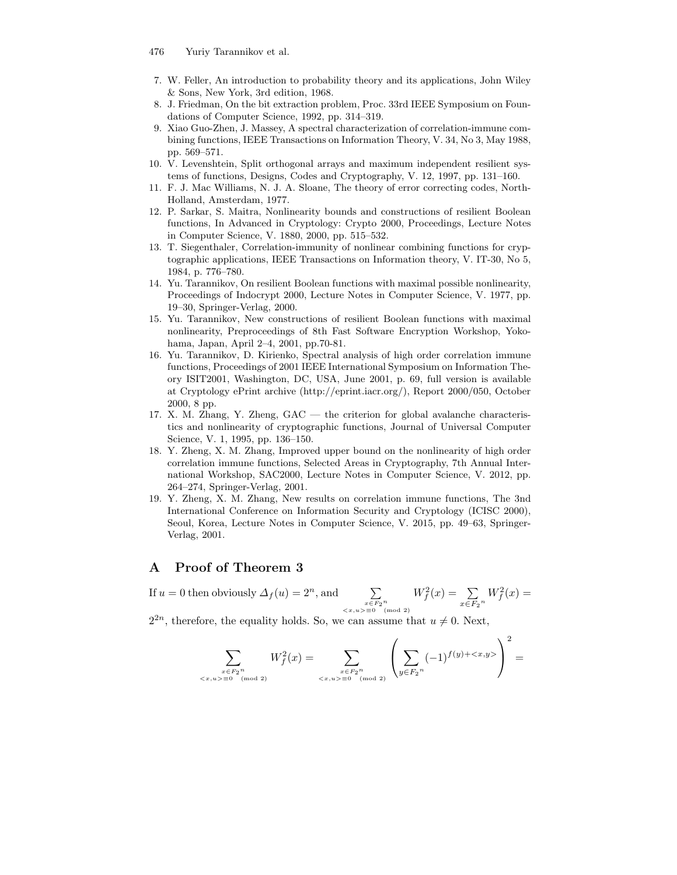### 476 Yuriy Tarannikov et al.

- 7. W. Feller, An introduction to probability theory and its applications, John Wiley & Sons, New York, 3rd edition, 1968.
- 8. J. Friedman, On the bit extraction problem, Proc. 33rd IEEE Symposium on Foundations of Computer Science, 1992, pp. 314–319.
- 9. Xiao Guo-Zhen, J. Massey, A spectral characterization of correlation-immune combining functions, IEEE Transactions on Information Theory, V. 34, No 3, May 1988, pp. 569–571.
- 10. V. Levenshtein, Split orthogonal arrays and maximum independent resilient systems of functions, Designs, Codes and Cryptography, V. 12, 1997, pp. 131–160.
- 11. F. J. Mac Williams, N. J. A. Sloane, The theory of error correcting codes, North-Holland, Amsterdam, 1977.
- 12. P. Sarkar, S. Maitra, Nonlinearity bounds and constructions of resilient Boolean functions, In Advanced in Cryptology: Crypto 2000, Proceedings, Lecture Notes in Computer Science, V. 1880, 2000, pp. 515–532.
- 13. T. Siegenthaler, Correlation-immunity of nonlinear combining functions for cryptographic applications, IEEE Transactions on Information theory, V. IT-30, No 5, 1984, p. 776–780.
- 14. Yu. Tarannikov, On resilient Boolean functions with maximal possible nonlinearity, Proceedings of Indocrypt 2000, Lecture Notes in Computer Science, V. 1977, pp. 19–30, Springer-Verlag, 2000.
- 15. Yu. Tarannikov, New constructions of resilient Boolean functions with maximal nonlinearity, Preproceedings of 8th Fast Software Encryption Workshop, Yokohama, Japan, April 2–4, 2001, pp.70-81.
- 16. Yu. Tarannikov, D. Kirienko, Spectral analysis of high order correlation immune functions, Proceedings of 2001 IEEE International Symposium on Information Theory ISIT2001, Washington, DC, USA, June 2001, p. 69, full version is available at Cryptology ePrint archive (http://eprint.iacr.org/), Report 2000/050, October 2000, 8 pp.
- 17. X. M. Zhang, Y. Zheng, GAC the criterion for global avalanche characteristics and nonlinearity of cryptographic functions, Journal of Universal Computer Science, V. 1, 1995, pp. 136–150.
- 18. Y. Zheng, X. M. Zhang, Improved upper bound on the nonlinearity of high order correlation immune functions, Selected Areas in Cryptography, 7th Annual International Workshop, SAC2000, Lecture Notes in Computer Science, V. 2012, pp. 264–274, Springer-Verlag, 2001.
- 19. Y. Zheng, X. M. Zhang, New results on correlation immune functions, The 3nd International Conference on Information Security and Cryptology (ICISC 2000), Seoul, Korea, Lecture Notes in Computer Science, V. 2015, pp. 49–63, Springer-Verlag, 2001.

### A Proof of Theorem 3

If  $u = 0$  then obviously  $\Delta_f(u) = 2^n$ , and  $n$ , and  $\sum$  $\begin{array}{c} x \in F_2^{\ n} \\ \langle x, u \rangle \equiv 0 \pmod{2} \end{array}$  $W_f^2(x) = \sum$  $\sum_{x \in F_2^n} W_f^2(x) =$ 

 $2^{2n}$ , therefore, the equality holds. So, we can assume that  $u \neq 0$ . Next,

$$
\sum_{\substack{x \in F_2^n \\ \langle x, u \rangle \equiv 0 \pmod{2}}} W_f^2(x) = \sum_{\substack{x \in F_2^n \\ \langle x, u \rangle \equiv 0 \pmod{2}}} \left( \sum_{y \in F_2^n} (-1)^{f(y) + \langle x, y \rangle} \right)^2 =
$$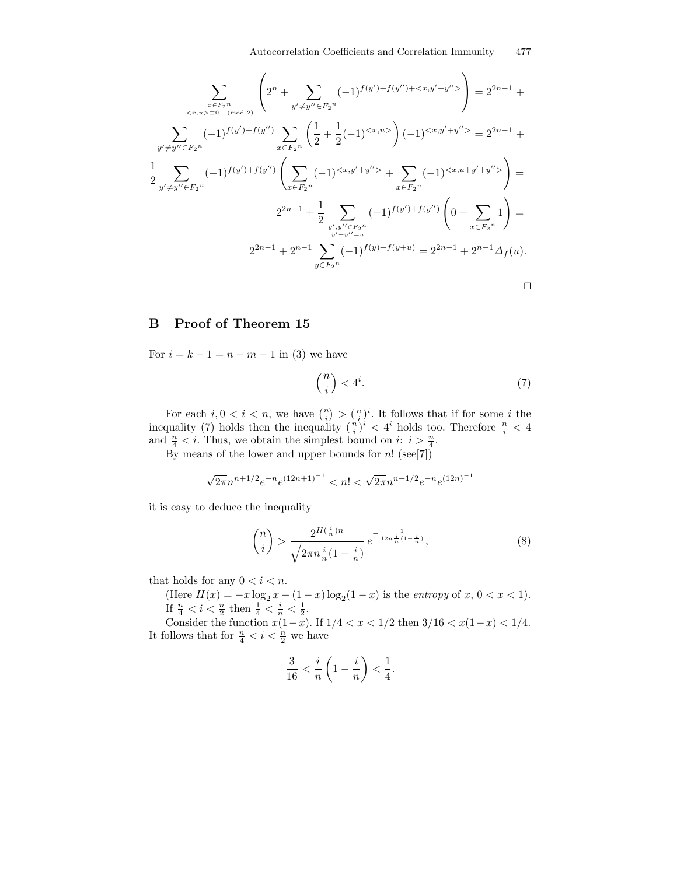$$
\sum_{\substack{x \in F_2^n \\ y' \neq y'' \in F_2^n}} \left( 2^n + \sum_{y' \neq y'' \in F_2^n} (-1)^{f(y') + f(y'') + \langle x, y' + y'' \rangle} \right) = 2^{2n - 1} +
$$
\n
$$
\sum_{y' \neq y'' \in F_2^n} (-1)^{f(y') + f(y'')} \sum_{x \in F_2^n} \left( \frac{1}{2} + \frac{1}{2}(-1)^{\langle x, y \rangle} \right) (-1)^{\langle x, y' + y'' \rangle} = 2^{2n - 1} +
$$
\n
$$
\frac{1}{2} \sum_{y' \neq y'' \in F_2^n} (-1)^{f(y') + f(y'')} \left( \sum_{x \in F_2^n} (-1)^{\langle x, y' + y'' \rangle} + \sum_{x \in F_2^n} (-1)^{\langle x, y + y'' \rangle} \right) =
$$
\n
$$
2^{2n - 1} + \frac{1}{2} \sum_{\substack{y', y'' \in F_2^n \\ y' + y'' = u}} (-1)^{f(y') + f(y'')} \left( 0 + \sum_{x \in F_2^n} 1 \right) =
$$
\n
$$
2^{2n - 1} + 2^{n - 1} \sum_{y \in F_2^n} (-1)^{f(y) + f(y + u)} = 2^{2n - 1} + 2^{n - 1} \Delta_f(u).
$$

### B Proof of Theorem 15

For  $i = k - 1 = n - m - 1$  in (3) we have

$$
\binom{n}{i} < 4^i. \tag{7}
$$

For each  $i, 0 < i < n$ , we have  $\binom{n}{i} > \left(\frac{n}{i}\right)^i$ . It follows that if for some *i* the inequality (7) holds then the inequality  $(\frac{n}{i})^i < 4^i$  holds too. Therefore  $\frac{n}{i} < 4$ and  $\frac{n}{4} < i$ . Thus, we obtain the simplest bound on  $i: i > \frac{n}{4}$ .

By means of the lower and upper bounds for  $n!$  (see[7])

$$
\sqrt{2\pi}n^{n+1/2}e^{-n}e^{(12n+1)^{-1}} < n! < \sqrt{2\pi}n^{n+1/2}e^{-n}e^{(12n)^{-1}}
$$

it is easy to deduce the inequality

$$
\binom{n}{i} > \frac{2^{H(\frac{i}{n})n}}{\sqrt{2\pi n \frac{i}{n}(1-\frac{i}{n})}} \, e^{-\frac{1}{12n\frac{i}{n}(1-\frac{i}{n})}},\tag{8}
$$

that holds for any  $0 < i < n$ .

(Here  $H(x) = -x \log_2 x - (1-x) \log_2(1-x)$  is the *entropy* of  $x, 0 < x < 1$ ). If  $\frac{n}{4} < i < \frac{n}{2}$  then  $\frac{1}{4} < \frac{i}{n} < \frac{1}{2}$ .

Consider the function  $x(1-x)$ . If  $1/4 < x < 1/2$  then  $3/16 < x(1-x) < 1/4$ . It follows that for  $\frac{n}{4} < i < \frac{n}{2}$  we have

$$
\frac{3}{16} < \frac{i}{n} \left( 1 - \frac{i}{n} \right) < \frac{1}{4}.
$$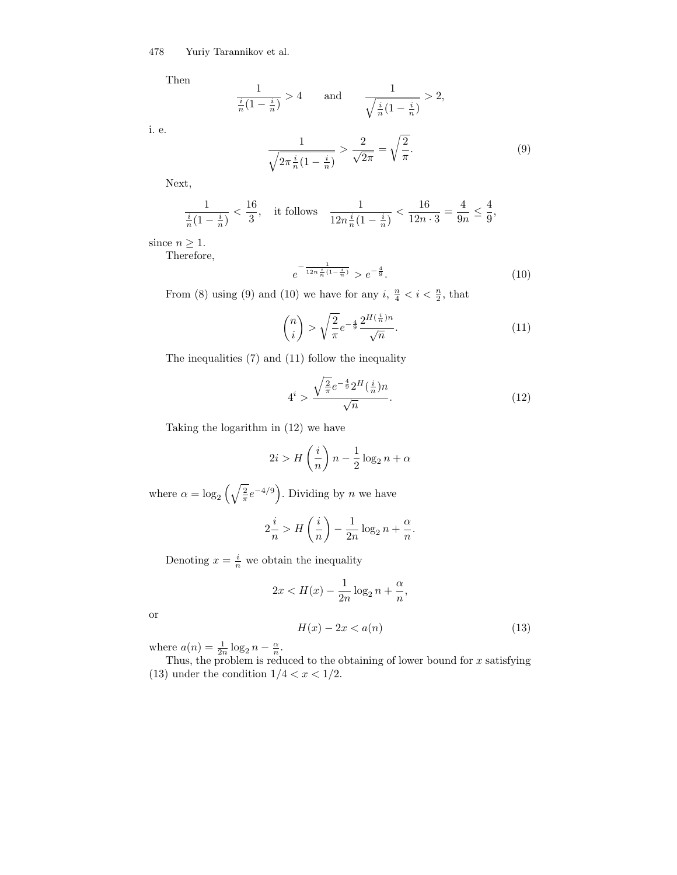Then

$$
\frac{1}{\frac{i}{n}(1-\frac{i}{n})} > 4 \quad \text{and} \quad \frac{1}{\sqrt{\frac{i}{n}(1-\frac{i}{n})}} > 2,
$$

i. e.

$$
\frac{1}{\sqrt{2\pi\frac{i}{n}(1-\frac{i}{n})}} > \frac{2}{\sqrt{2\pi}} = \sqrt{\frac{2}{\pi}}.
$$
\n
$$
(9)
$$

Next,

$$
\frac{1}{\frac{i}{n}(1-\frac{i}{n})} < \frac{16}{3}, \quad \text{it follows} \quad \frac{1}{12n\frac{i}{n}(1-\frac{i}{n})} < \frac{16}{12n\cdot 3} = \frac{4}{9n} \le \frac{4}{9},
$$

since  $n \geq 1$ .

Therefore,

$$
e^{-\frac{1}{12n\frac{i}{n}(1-\frac{i}{n})}} > e^{-\frac{4}{9}}.
$$
\n(10)

From (8) using (9) and (10) we have for any  $i, \frac{n}{4} < i < \frac{n}{2}$ , that

$$
\binom{n}{i} > \sqrt{\frac{2}{\pi}} e^{-\frac{4}{9} \frac{2^{H\left(\frac{i}{n}\right)n}}{\sqrt{n}}}. \tag{11}
$$

The inequalities (7) and (11) follow the inequality

$$
4^{i} > \frac{\sqrt{\frac{2}{\pi}}e^{-\frac{4}{9}}2^{H}(\frac{i}{n})n}{\sqrt{n}}.
$$
\n(12)

Taking the logarithm in (12) we have

$$
2i > H\left(\frac{i}{n}\right)n - \frac{1}{2}\log_2 n + \alpha
$$

where  $\alpha = \log_2\left(\sqrt{\frac{2}{\pi}}e^{-4/9}\right)$ . Dividing by n we have

$$
2\frac{i}{n} > H\left(\frac{i}{n}\right) - \frac{1}{2n}\log_2 n + \frac{\alpha}{n}.
$$

Denoting  $x = \frac{i}{n}$  we obtain the inequality

$$
2x < H(x) - \frac{1}{2n} \log_2 n + \frac{\alpha}{n},
$$

or

$$
H(x) - 2x < a(n) \tag{13}
$$

where  $a(n) = \frac{1}{2n} \log_2 n - \frac{\alpha}{n}$ .

Thus, the problem is reduced to the obtaining of lower bound for  $x$  satisfying (13) under the condition  $1/4 < x < 1/2$ .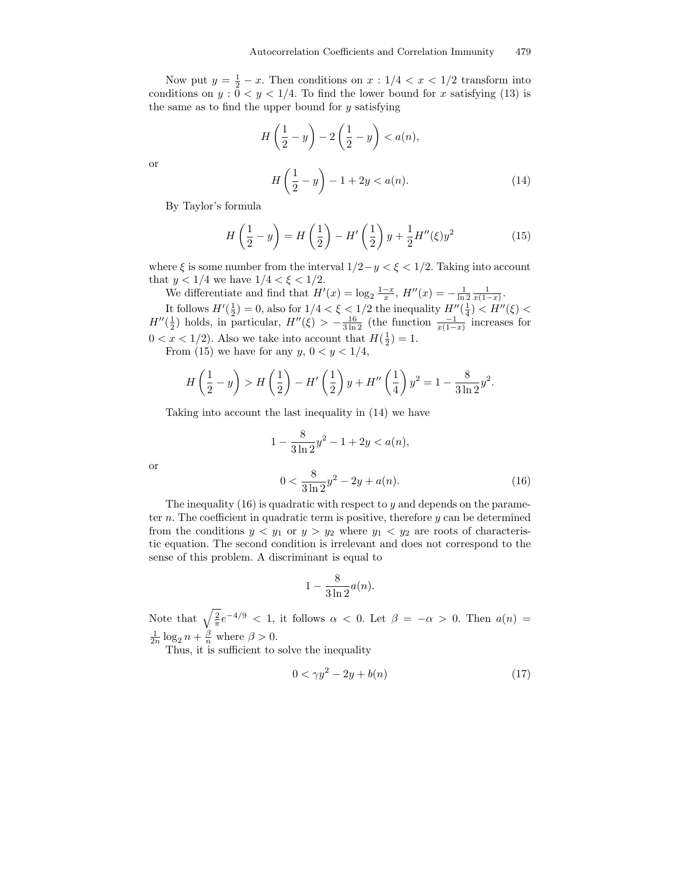Now put  $y = \frac{1}{2} - x$ . Then conditions on  $x : 1/4 < x < 1/2$  transform into conditions on  $y: 0 < y < 1/4$ . To find the lower bound for x satisfying (13) is the same as to find the upper bound for  $y$  satisfying

$$
H\left(\frac{1}{2} - y\right) - 2\left(\frac{1}{2} - y\right) < a(n),
$$
\n
$$
H\left(\frac{1}{2} - y\right) - 1 + 2y < a(n). \tag{14}
$$

By Taylor's formula

$$
H\left(\frac{1}{2} - y\right) = H\left(\frac{1}{2}\right) - H'\left(\frac{1}{2}\right)y + \frac{1}{2}H''(\xi)y^2\tag{15}
$$

where  $\xi$  is some number from the interval  $1/2-y < \xi < 1/2$ . Taking into account that  $y < 1/4$  we have  $1/4 < \xi < 1/2$ .

We differentiate and find that  $H'(x) = \log_2 \frac{1-x}{x}$ ,  $H''(x) = -\frac{1}{\ln 2} \frac{1}{x(1-x)}$ .

It follows  $H'(\frac{1}{2}) = 0$ , also for  $1/4 < \xi < 1/2$  the inequality  $H''(\frac{1}{4}) < H''(\xi) <$  $H''(\frac{1}{2})$  holds, in particular,  $H''(\xi) > -\frac{16}{3 \ln 2}$  (the function  $\frac{-1}{x(1-x)}$  increases for  $0 < x < 1/2$ ). Also we take into account that  $H(\frac{1}{2}) = 1$ .

From (15) we have for any  $y, 0 < y < 1/4$ ,

$$
H\left(\frac{1}{2} - y\right) > H\left(\frac{1}{2}\right) - H'\left(\frac{1}{2}\right)y + H''\left(\frac{1}{4}\right)y^2 = 1 - \frac{8}{3\ln 2}y^2.
$$

Taking into account the last inequality in (14) we have

$$
1 - \frac{8}{3\ln 2}y^2 - 1 + 2y < a(n),
$$
\n
$$
0 < \frac{8}{3\ln 2}y^2 - 2y + a(n). \tag{16}
$$

or

or

The inequality  $(16)$  is quadratic with respect to y and depends on the parameter  $n$ . The coefficient in quadratic term is positive, therefore  $y$  can be determined from the conditions  $y < y_1$  or  $y > y_2$  where  $y_1 < y_2$  are roots of characteristic equation. The second condition is irrelevant and does not correspond to the sense of this problem. A discriminant is equal to

$$
1 - \frac{8}{3\ln 2}a(n).
$$

Note that  $\sqrt{\frac{2}{\pi}}e^{-4/9} < 1$ , it follows  $\alpha < 0$ . Let  $\beta = -\alpha > 0$ . Then  $a(n) =$  $\frac{1}{2n} \log_2 n + \frac{\beta}{n}$  where  $\beta > 0$ .

Thus, it is sufficient to solve the inequality

$$
0 < \gamma y^2 - 2y + b(n) \tag{17}
$$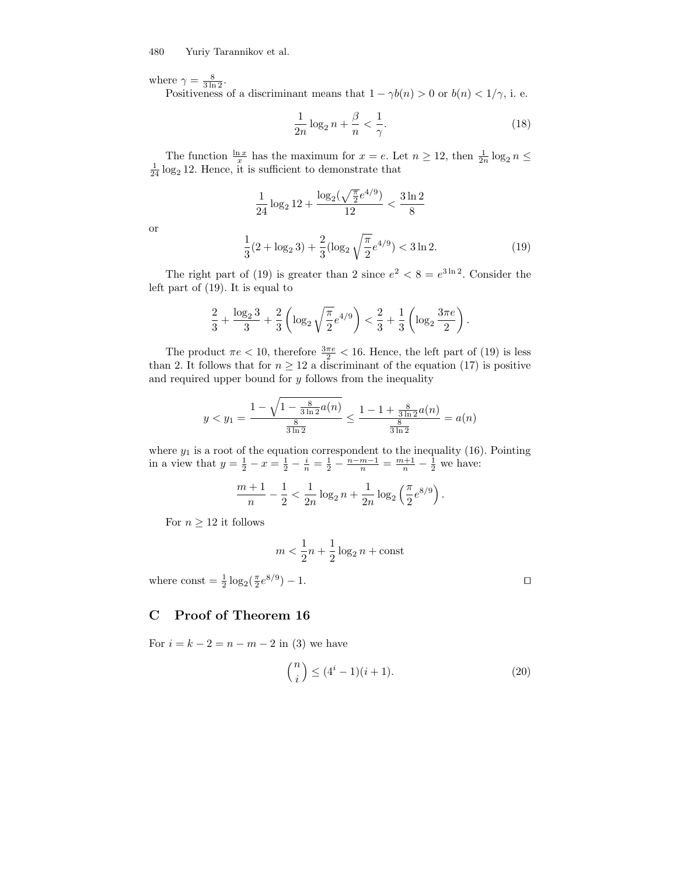1

where  $\gamma = \frac{8}{3 \ln 2}$ .

Positiveness of a discriminant means that  $1 - \gamma b(n) > 0$  or  $b(n) < 1/\gamma$ , i. e.

$$
\frac{1}{2n}\log_2 n + \frac{\beta}{n} < \frac{1}{\gamma}.\tag{18}
$$

The function  $\frac{\ln x}{x}$  has the maximum for  $x = e$ . Let  $n \ge 12$ , then  $\frac{1}{2n} \log_2 n \le \frac{1}{24} \log_2 12$ . Hence, it is sufficient to demonstrate that

$$
\frac{1}{24}\log_2 12 + \frac{\log_2(\sqrt{\frac{\pi}{2}}e^{4/9})}{12} < \frac{3\ln 2}{8}
$$

$$
\frac{1}{3}(2+\log_2 3) + \frac{2}{3}(\log_2\sqrt{\frac{\pi}{2}}e^{4/9}) < 3\ln 2.
$$

or

$$
\frac{1}{3}(2 + \log_2 3) + \frac{2}{3}(\log_2 \sqrt{\frac{n}{2}}e^{4/9}) < 3\ln 2. \tag{19}
$$
\nright part of (19) is greater than 2 since  $e^2 < 8 = e^{3\ln 2}$ . Consider the

The right part of  $(19)$  is greater than 2 since e . Consider the left part of (19). It is equal to

$$
\frac{2}{3} + \frac{\log_2 3}{3} + \frac{2}{3} \left( \log_2 \sqrt{\frac{\pi}{2}} e^{4/9} \right) < \frac{2}{3} + \frac{1}{3} \left( \log_2 \frac{3\pi e}{2} \right).
$$

The product  $\pi e < 10$ , therefore  $\frac{3\pi e}{2} < 16$ . Hence, the left part of (19) is less than 2. It follows that for  $n \geq 12$  a discriminant of the equation (17) is positive and required upper bound for  $y$  follows from the inequality

$$
y < y_1 = \frac{1 - \sqrt{1 - \frac{8}{3\ln 2}a(n)}}{\frac{8}{3\ln 2}} \le \frac{1 - 1 + \frac{8}{3\ln 2}a(n)}{\frac{8}{3\ln 2}} = a(n)
$$

where  $y_1$  is a root of the equation correspondent to the inequality (16). Pointing in a view that  $y = \frac{1}{2} - x = \frac{1}{2} - \frac{i}{n} = \frac{1}{2} - \frac{n-m-1}{n} = \frac{m+1}{n} - \frac{1}{2}$  we have:

$$
\frac{m+1}{n} - \frac{1}{2} < \frac{1}{2n} \log_2 n + \frac{1}{2n} \log_2 \left( \frac{\pi}{2} e^{8/9} \right).
$$

For  $n \geq 12$  it follows

$$
m < \frac{1}{2}n + \frac{1}{2}\log_2 n + \text{const}
$$

where  $\text{const} = \frac{1}{2} \log_2(\frac{\pi}{2}e^{8/9})$ ) − 1. turns turns turns turns turns turns turns turns turns turns turns turns turns turns turns turns turns turns turns turns turns turns turns turns turns turns turns turns turns turns turns turns turns turns turns tur

### C Proof of Theorem 16

For  $i = k - 2 = n - m - 2$  in (3) we have

$$
\binom{n}{i} \le (4^i - 1)(i + 1). \tag{20}
$$